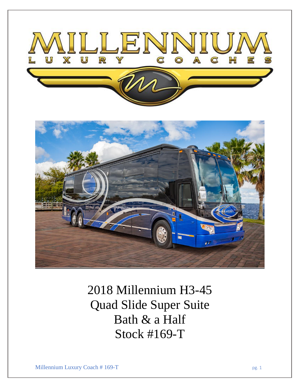

2018 Millennium H3-45 Quad Slide Super Suite Bath & a Half Stock #169-T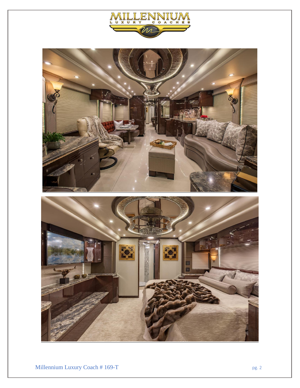



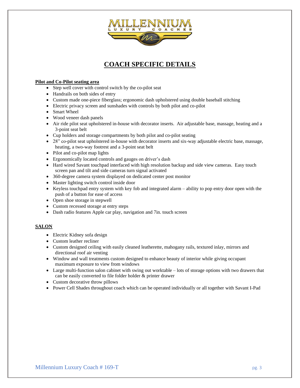

## **COACH SPECIFIC DETAILS**

#### **Pilot and Co-Pilot seating area**

- Step well cover with control switch by the co-pilot seat
- Handrails on both sides of entry
- Custom made one-piece fiberglass; ergonomic dash upholstered using double baseball stitching
- Electric privacy screen and sunshades with controls by both pilot and co-pilot
- Smart Wheel
- Wood veneer dash panels
- Air ride pilot seat upholstered in-house with decorator inserts. Air adjustable base, massage, heating and a 3-point seat belt
- Cup holders and storage compartments by both pilot and co-pilot seating
- 28" co-pilot seat upholstered in-house with decorator inserts and six-way adjustable electric base, massage, heating, a two-way footrest and a 3-point seat belt
- Pilot and co-pilot map lights
- Ergonomically located controls and gauges on driver's dash
- Hard wired Savant touchpad interfaced with high resolution backup and side view cameras. Easy touch screen pan and tilt and side cameras turn signal activated
- 360-degree camera system displayed on dedicated center post monitor
- Master lighting switch control inside door
- Keyless touchpad entry system with key fob and integrated alarm ability to pop entry door open with the push of a button for ease of access
- Open shoe storage in stepwell
- Custom recessed storage at entry steps
- Dash radio features Apple car play, navigation and 7in. touch screen

## **SALON**

- Electric Kidney sofa design
- Custom leather recliner
- Custom designed ceiling with easily cleaned leatherette, mahogany rails, textured inlay, mirrors and directional roof air venting
- Window and wall treatments custom designed to enhance beauty of interior while giving occupant maximum exposure to view from windows
- Large multi-function salon cabinet with swing out worktable lots of storage options with two drawers that can be easily converted to file folder holder & printer drawer
- Custom decorative throw pillows
- Power Cell Shades throughout coach which can be operated individually or all together with Savant I-Pad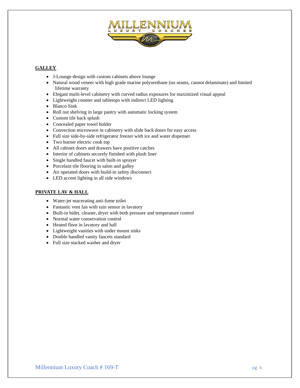

## **GALLEY**

- J-Lounge design with custom cabinets above lounge
- Natural wood veneer with high grade marine polyurethane (no seams, cannot delaminate) and limited lifetime warranty
- Elegant multi-level cabinetry with curved radius exposures for maximized visual appeal
- Lightweight counter and tabletops with indirect LED lighting
- Blanco Sink
- Roll out shelving in large pantry with automatic locking system
- Custom tile back splash
- Concealed paper towel holder
- Convection microwave in cabinetry with slide back doors for easy access
- Full size side-by-side refrigerator freezer with ice and water dispenser
- Two burner electric cook top
- All cabinet doors and drawers have positive catches
- Interior of cabinets securely finished with plush liner
- Single handled faucet with built-in sprayer
- Porcelain tile flooring in salon and galley
- Air operated doors with build-in safety disconnect
- LED accent lighting in all side windows

## **PRIVATE LAV & HALL**

- Water-jet macerating anti-fume toilet
- Fantastic vent fan with rain sensor in lavatory
- Built-in bidet, cleaner, dryer with both pressure and temperature control
- Normal water conservation control
- Heated floor in lavatory and hall
- Lightweight vanities with under mount sinks
- Double handled vanity faucets standard
- Full size stacked washer and dryer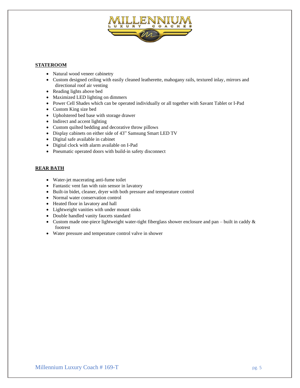

## **STATEROOM**

- Natural wood veneer cabinetry
- Custom designed ceiling with easily cleaned leatherette, mahogany rails, textured inlay, mirrors and directional roof air venting
- Reading lights above bed
- Maximized LED lighting on dimmers
- Power Cell Shades which can be operated individually or all together with Savant Tablet or I-Pad
- Custom King size bed
- Upholstered bed base with storage drawer
- Indirect and accent lighting
- Custom quilted bedding and decorative throw pillows
- Display cabinets on either side of 43" Samsung Smart LED TV
- Digital safe available in cabinet
- Digital clock with alarm available on I-Pad
- Pneumatic operated doors with build-in safety disconnect

## **REAR BATH**

- Water-jet macerating anti-fume toilet
- Fantastic vent fan with rain sensor in lavatory
- Built-in bidet, cleaner, dryer with both pressure and temperature control
- Normal water conservation control
- Heated floor in lavatory and hall
- Lightweight vanities with under mount sinks
- Double handled vanity faucets standard
- Custom made one-piece lightweight water-tight fiberglass shower enclosure and pan built in caddy & footrest
- Water pressure and temperature control valve in shower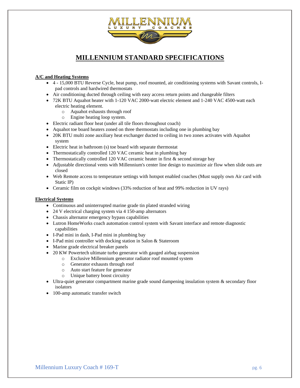

# **MILLENNIUM STANDARD SPECIFICATIONS**

## **A/C and Heating Systems**

- 4 15,000 BTU Reverse Cycle, heat pump, roof mounted, air conditioning systems with Savant controls, Ipad controls and hardwired thermostats
- Air conditioning ducted through ceiling with easy access return points and changeable filters
- 72K BTU Aquahot heater with 1-120 VAC 2000-watt electric element and 1-240 VAC 4500-watt each electric heating element.
	- o Aquahot exhausts through roof
	- o Engine heating loop system.
- Electric radiant floor heat (under all tile floors throughout coach)
- Aquahot toe board heaters zoned on three thermostats including one in plumbing bay
- 20K BTU multi zone auxiliary heat exchanger ducted to ceiling in two zones activates with Aquahot system
- Electric heat in bathroom (s) toe board with separate thermostat
- Thermostatically controlled 120 VAC ceramic heat in plumbing bay
- Thermostatically controlled 120 VAC ceramic heater in first & second storage bay
- Adjustable directional vents with Millennium's center line design to maximize air flow when slide outs are closed
- Web Remote access to temperature settings with hotspot enabled coaches (Must supply own Air card with Static IP)
- Ceramic film on cockpit windows (33% reduction of heat and 99% reduction in UV rays)

#### **Electrical Systems**

- Continuous and uninterrupted marine grade tin plated stranded wiring
- 24 V electrical charging system via 4 150-amp alternators
- Chassis alternator emergency bypass capabilities
- Lutron HomeWorks coach automation control system with Savant interface and remote diagnostic capabilities
- I-Pad mini in dash, I-Pad mini in plumbing bay
- I-Pad mini controller with docking station in Salon & Stateroom
- Marine grade electrical breaker panels
- 20 KW Powertech ultimate turbo generator with gauged airbag suspension
	- o Exclusive Millennium generator radiator roof mounted system
	- o Generator exhausts through roof
	- o Auto start feature for generator
	- o Unique battery boost circuitry
- Ultra-quiet generator compartment marine grade sound dampening insulation system & secondary floor isolators
- 100-amp automatic transfer switch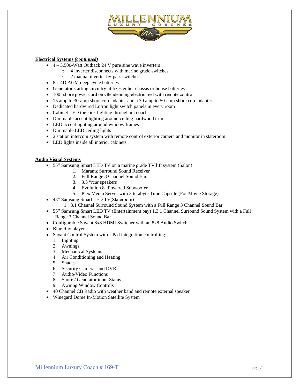

#### **Electrical Systems** *(continued)*

- $\bullet$  4 3,500-Watt Outback 24 V pure sine wave inverters
	- o 4 inverter disconnects with marine grade switches
	- o 2 manual inverter by-pass switches
- $\bullet$  8 4D AGM deep cycle batteries
- Generator starting circuitry utilizes either chassis or house batteries
- 100' shore power cord on Glendenning electric reel with remote control
- 15 amp to 30-amp shore cord adapter and a 30 amp to 50-amp shore cord adapter
- Dedicated hardwired Lutron light switch panels in every room
- Cabinet LED toe kick lighting throughout coach
- Dimmable accent lighting around ceiling hardwood trim
- LED accent lighting around window frames
- Dimmable LED ceiling lights
- 2 station intercom system with remote control exterior camera and monitor in stateroom
- LED lights inside all interior cabinets

#### **Audio Visual Systems**

- 55" Samsung Smart LED TV on a marine grade TV lift system (Salon)
	- 1. Marantz Surround Sound Receiver
	- 2. Full Range 3 Channel Sound Bar
	- 3. 3.5 "rear speakers
	- 4. Evolution 8" Powered Subwoofer
	- 5. Plex Media Server with 3 terabyte Time Capsule (For Movie Storage)
- 43" Samsung Smart LED TV(Stateroom)
	- 1. 3.1 Channel Surround Sound System with a Full Range 3 Channel Sound Bar
- 55" Samsung Smart LED TV (Entertainment bay) 1.3.1 Channel Surround Sound System with a Full Range 3 Channel Sound Bar
- Configurable Savant 8x8 HDMI Switcher with an 8x8 Audio Switch
- Blue Ray player
- Savant Control System with I-Pad integration controlling:
	- 1. Lighting
	- 2. Awnings
	- 3. Mechanical Systems
	- 4. Air Conditioning and Heating
	- 5. Shades
	- 6. Security Cameras and DVR
	- 7. Audio/Video Functions
	- 8. Shore / Generator input Status
	- 9. Awning Window Controls
- 40 Channel CB Radio with weather band and remote external speaker
- Winegard Dome In-Motion Satellite System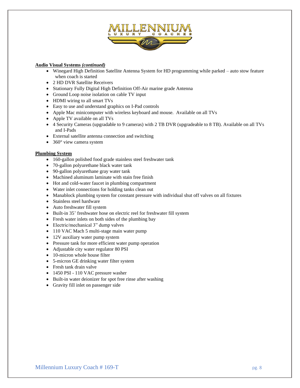

#### **Audio Visual Systems** *(continued)*

- Winegard High Definition Satellite Antenna System for HD programming while parked auto stow feature when coach is started
- 2 HD DVR Satellite Receivers
- Stationary Fully Digital High Definition Off-Air marine grade Antenna
- Ground Loop noise isolation on cable TV input
- HDMI wiring to all smart TVs
- Easy to use and understand graphics on I-Pad controls
- Apple Mac minicomputer with wireless keyboard and mouse. Available on all TVs
- Apple TV available on all TVs
- 4 Security Cameras (upgradable to 9 cameras) with 2 TB DVR (upgradeable to 8 TB). Available on all TVs and I-Pads
- External satellite antenna connection and switching
- 360° view camera system

#### **Plumbing System**

- 160-gallon polished food grade stainless steel freshwater tank
- 70-gallon polyurethane black water tank
- 90-gallon polyurethane gray water tank
- Machined aluminum laminate with stain free finish
- Hot and cold-water faucet in plumbing compartment
- Water inlet connections for holding tanks clean out
- Manablock plumbing system for constant pressure with individual shut off valves on all fixtures
- Stainless steel hardware
- Auto freshwater fill system
- Built-in 35' freshwater hose on electric reel for freshwater fill system
- Fresh water inlets on both sides of the plumbing bay
- Electric/mechanical 3" dump valves
- 110 VAC Mach 5 multi-stage main water pump
- 12V auxiliary water pump system
- Pressure tank for more efficient water pump operation
- Adjustable city water regulator 80 PSI
- 10-micron whole house filter
- 5-micron GE drinking water filter system
- Fresh tank drain valve
- 1450 PSI 110 VAC pressure washer
- Built-in water deionizer for spot free rinse after washing
- Gravity fill inlet on passenger side